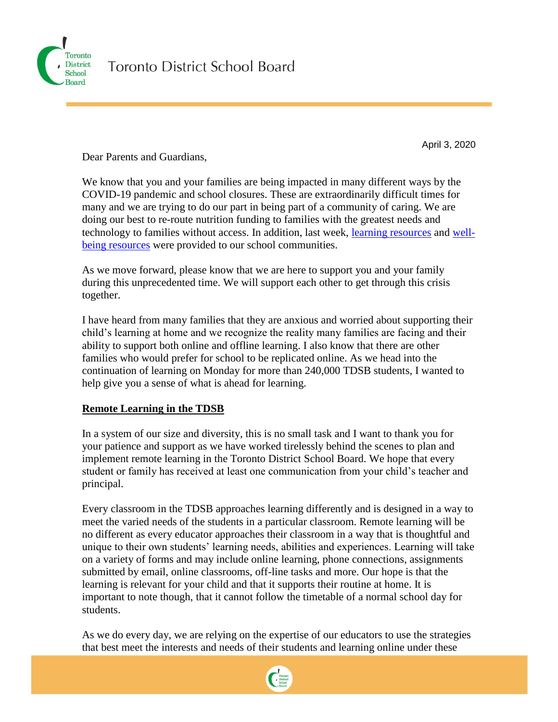

April 3, 2020

Dear Parents and Guardians,

We know that you and your families are being impacted in many different ways by the COVID-19 pandemic and school closures. These are extraordinarily difficult times for many and we are trying to do our part in being part of a community of caring. We are doing our best to re-route nutrition funding to families with the greatest needs and technology to families without access. In addition, last week, [learning resources](https://www.tdsb.on.ca/Elementary-School/Supporting-You/Health-Active-Living/Coronavirus/Learning-Resources) and [well](https://www.tdsb.on.ca/Elementary-School/Supporting-You/Mental-Health-Well-being/Resources-During-Covid-19)[being resources](https://www.tdsb.on.ca/Elementary-School/Supporting-You/Mental-Health-Well-being/Resources-During-Covid-19) were provided to our school communities.

As we move forward, please know that we are here to support you and your family during this unprecedented time. We will support each other to get through this crisis together.

I have heard from many families that they are anxious and worried about supporting their child's learning at home and we recognize the reality many families are facing and their ability to support both online and offline learning. I also know that there are other families who would prefer for school to be replicated online. As we head into the continuation of learning on Monday for more than 240,000 TDSB students, I wanted to help give you a sense of what is ahead for learning.

# **Remote Learning in the TDSB**

In a system of our size and diversity, this is no small task and I want to thank you for your patience and support as we have worked tirelessly behind the scenes to plan and implement remote learning in the Toronto District School Board. We hope that every student or family has received at least one communication from your child's teacher and principal.

Every classroom in the TDSB approaches learning differently and is designed in a way to meet the varied needs of the students in a particular classroom. Remote learning will be no different as every educator approaches their classroom in a way that is thoughtful and unique to their own students' learning needs, abilities and experiences. Learning will take on a variety of forms and may include online learning, phone connections, assignments submitted by email, online classrooms, off-line tasks and more. Our hope is that the learning is relevant for your child and that it supports their routine at home. It is important to note though, that it cannot follow the timetable of a normal school day for students.

As we do every day, we are relying on the expertise of our educators to use the strategies that best meet the interests and needs of their students and learning online under these

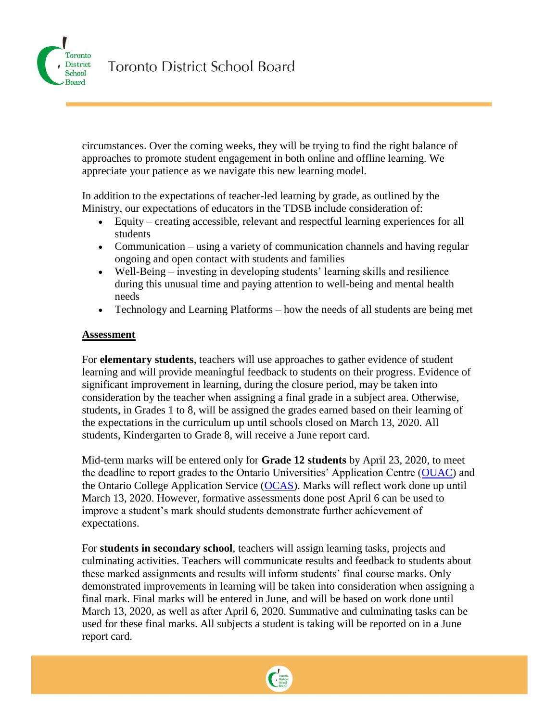

circumstances. Over the coming weeks, they will be trying to find the right balance of approaches to promote student engagement in both online and offline learning. We appreciate your patience as we navigate this new learning model.

In addition to the expectations of teacher-led learning by grade, as outlined by the Ministry, our expectations of educators in the TDSB include consideration of:

- Equity creating accessible, relevant and respectful learning experiences for all students
- Communication using a variety of communication channels and having regular ongoing and open contact with students and families
- Well-Being investing in developing students' learning skills and resilience during this unusual time and paying attention to well-being and mental health needs
- Technology and Learning Platforms how the needs of all students are being met

#### **Assessment**

For **elementary students**, teachers will use approaches to gather evidence of student learning and will provide meaningful feedback to students on their progress. Evidence of significant improvement in learning, during the closure period, may be taken into consideration by the teacher when assigning a final grade in a subject area. Otherwise, students, in Grades 1 to 8, will be assigned the grades earned based on their learning of the expectations in the curriculum up until schools closed on March 13, 2020. All students, Kindergarten to Grade 8, will receive a June report card.

Mid-term marks will be entered only for **Grade 12 students** by April 23, 2020, to meet the deadline to report grades to the Ontario Universities' Application Centre [\(OUAC\)](https://www.ouac.on.ca/guidance/counsellor-resources/schedule-of-dates-2020/) and the Ontario College Application Service [\(OCAS\)](https://www.ocas.ca/). Marks will reflect work done up until March 13, 2020. However, formative assessments done post April 6 can be used to improve a student's mark should students demonstrate further achievement of expectations.

For **students in secondary school**, teachers will assign learning tasks, projects and culminating activities. Teachers will communicate results and feedback to students about these marked assignments and results will inform students' final course marks. Only demonstrated improvements in learning will be taken into consideration when assigning a final mark. Final marks will be entered in June, and will be based on work done until March 13, 2020, as well as after April 6, 2020. Summative and culminating tasks can be used for these final marks. All subjects a student is taking will be reported on in a June report card.

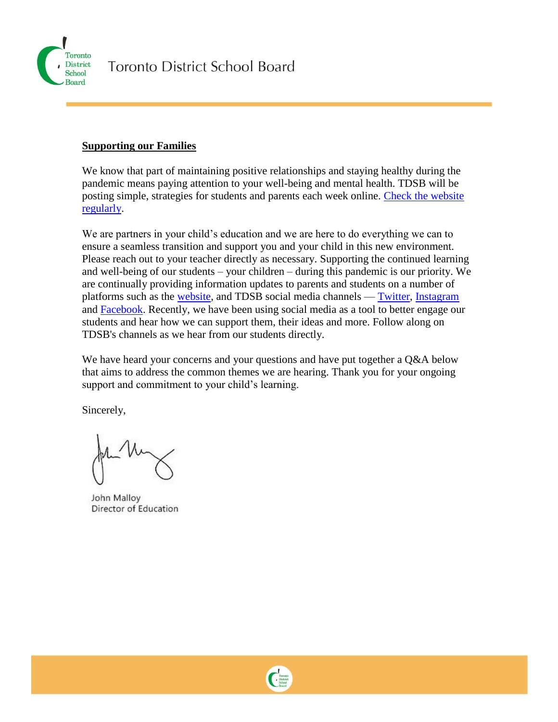

#### **Supporting our Families**

We know that part of maintaining positive relationships and staying healthy during the pandemic means paying attention to your well-being and mental health. TDSB will be posting simple, strategies for students and parents each week online. [Check the website](https://www.tdsb.on.ca/Elementary-School/Supporting-You/Mental-Health-Well-being/Resources-During-Covid-19)  [regularly.](https://www.tdsb.on.ca/Elementary-School/Supporting-You/Mental-Health-Well-being/Resources-During-Covid-19)

We are partners in your child's education and we are here to do everything we can to ensure a seamless transition and support you and your child in this new environment. Please reach out to your teacher directly as necessary. Supporting the continued learning and well-being of our students – your children – during this pandemic is our priority. We are continually providing information updates to parents and students on a number of platforms such as the [website,](http://www.tdsb.on.ca/) and TDSB social media channels — [Twitter,](http://www.twitter.com/tdsb) [Instagram](https://www.instagram.com/torontodsb/) and [Facebook.](https://www.facebook.com/toronto.dsb/?ref=br_rs) Recently, we have been using social media as a tool to better engage our students and hear how we can support them, their ideas and more. Follow along on TDSB's channels as we hear from our students directly.

We have heard your concerns and your questions and have put together a Q&A below that aims to address the common themes we are hearing. Thank you for your ongoing support and commitment to your child's learning.

Sincerely,

John Malloy Director of Education

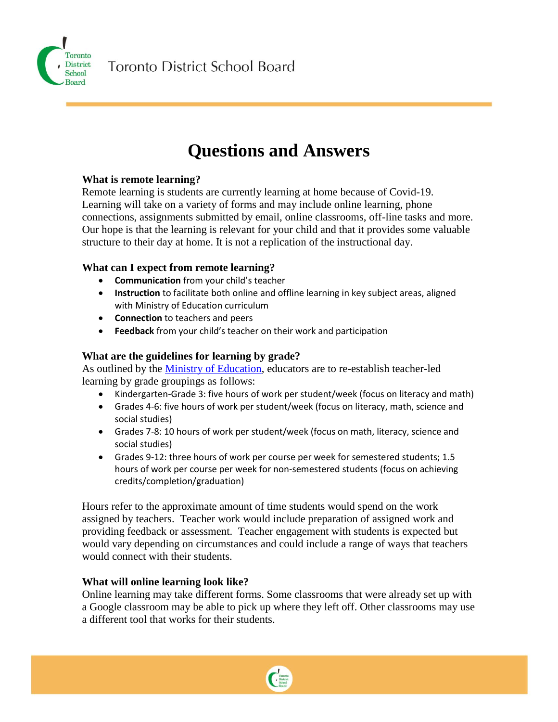

**Toronto District School Board** 

# **Questions and Answers**

## **What is remote learning?**

Remote learning is students are currently learning at home because of Covid-19. Learning will take on a variety of forms and may include online learning, phone connections, assignments submitted by email, online classrooms, off-line tasks and more. Our hope is that the learning is relevant for your child and that it provides some valuable structure to their day at home. It is not a replication of the instructional day.

#### **What can I expect from remote learning?**

- **Communication** from your child's teacher
- **Instruction** to facilitate both online and offline learning in key subject areas, aligned with Ministry of Education curriculum
- **Connection** to teachers and peers
- **Feedback** from your child's teacher on their work and participation

## **What are the guidelines for learning by grade?**

As outlined by the [Ministry of Education,](https://news.ontario.ca/opo/en/2020/03/ontario-extends-school-and-child-care-closures-to-fight-spread-of-covid-19.html) educators are to re-establish teacher-led learning by grade groupings as follows:

- Kindergarten-Grade 3: five hours of work per student/week (focus on literacy and math)
- Grades 4-6: five hours of work per student/week (focus on literacy, math, science and social studies)
- Grades 7-8: 10 hours of work per student/week (focus on math, literacy, science and social studies)
- Grades 9-12: three hours of work per course per week for semestered students; 1.5 hours of work per course per week for non-semestered students (focus on achieving credits/completion/graduation)

Hours refer to the approximate amount of time students would spend on the work assigned by teachers. Teacher work would include preparation of assigned work and providing feedback or assessment. Teacher engagement with students is expected but would vary depending on circumstances and could include a range of ways that teachers would connect with their students.

# **What will online learning look like?**

Online learning may take different forms. Some classrooms that were already set up with a Google classroom may be able to pick up where they left off. Other classrooms may use a different tool that works for their students.

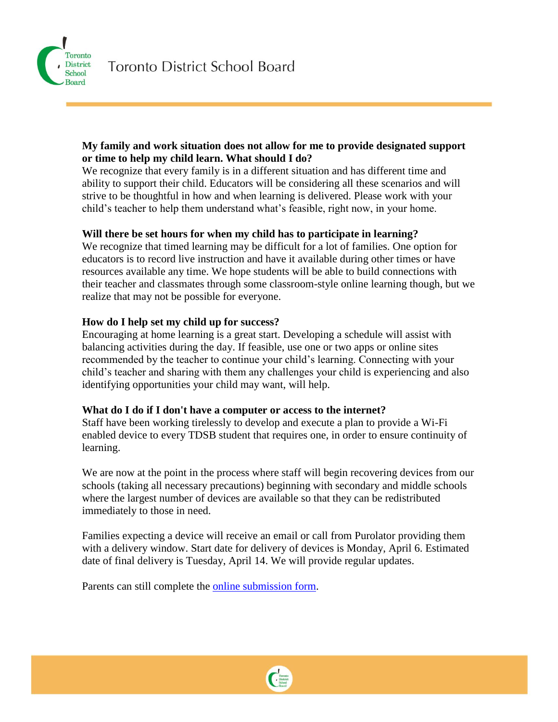

#### **My family and work situation does not allow for me to provide designated support or time to help my child learn. What should I do?**

We recognize that every family is in a different situation and has different time and ability to support their child. Educators will be considering all these scenarios and will strive to be thoughtful in how and when learning is delivered. Please work with your child's teacher to help them understand what's feasible, right now, in your home.

#### **Will there be set hours for when my child has to participate in learning?**

We recognize that timed learning may be difficult for a lot of families. One option for educators is to record live instruction and have it available during other times or have resources available any time. We hope students will be able to build connections with their teacher and classmates through some classroom-style online learning though, but we realize that may not be possible for everyone.

#### **How do I help set my child up for success?**

Encouraging at home learning is a great start. Developing a schedule will assist with balancing activities during the day. If feasible, use one or two apps or online sites recommended by the teacher to continue your child's learning. Connecting with your child's teacher and sharing with them any challenges your child is experiencing and also identifying opportunities your child may want, will help.

#### **What do I do if I don't have a computer or access to the internet?**

Staff have been working tirelessly to develop and execute a plan to provide a Wi-Fi enabled device to every TDSB student that requires one, in order to ensure continuity of learning.

We are now at the point in the process where staff will begin recovering devices from our schools (taking all necessary precautions) beginning with secondary and middle schools where the largest number of devices are available so that they can be redistributed immediately to those in need.

Families expecting a device will receive an email or call from Purolator providing them with a delivery window. Start date for delivery of devices is Monday, April 6. Estimated date of final delivery is Tuesday, April 14. We will provide regular updates.

Parents can still complete the [online submission form.](https://tdsb.ca1.qualtrics.com/jfe/form/SV_24CSItMznYXabrf)

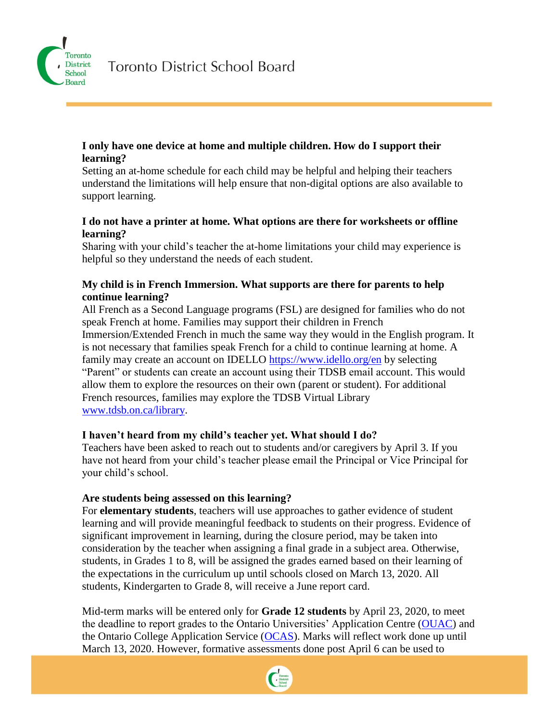

#### **I only have one device at home and multiple children. How do I support their learning?**

Setting an at-home schedule for each child may be helpful and helping their teachers understand the limitations will help ensure that non-digital options are also available to support learning.

## **I do not have a printer at home. What options are there for worksheets or offline learning?**

Sharing with your child's teacher the at-home limitations your child may experience is helpful so they understand the needs of each student.

## **My child is in French Immersion. What supports are there for parents to help continue learning?**

All French as a Second Language programs (FSL) are designed for families who do not speak French at home. Families may support their children in French Immersion/Extended French in much the same way they would in the English program. It is not necessary that families speak French for a child to continue learning at home. A family may create an account on IDELLO<https://www.idello.org/en> by selecting "Parent" or students can create an account using their TDSB email account. This would allow them to explore the resources on their own (parent or student). For additional French resources, families may explore the TDSB Virtual Library [www.tdsb.on.ca/library.](http://www.tdsb.on.ca/library)

#### **I haven't heard from my child's teacher yet. What should I do?**

Teachers have been asked to reach out to students and/or caregivers by April 3. If you have not heard from your child's teacher please email the Principal or Vice Principal for your child's school.

#### **Are students being assessed on this learning?**

For **elementary students**, teachers will use approaches to gather evidence of student learning and will provide meaningful feedback to students on their progress. Evidence of significant improvement in learning, during the closure period, may be taken into consideration by the teacher when assigning a final grade in a subject area. Otherwise, students, in Grades 1 to 8, will be assigned the grades earned based on their learning of the expectations in the curriculum up until schools closed on March 13, 2020. All students, Kindergarten to Grade 8, will receive a June report card.

Mid-term marks will be entered only for **Grade 12 students** by April 23, 2020, to meet the deadline to report grades to the Ontario Universities' Application Centre [\(OUAC\)](https://www.ouac.on.ca/guidance/counsellor-resources/schedule-of-dates-2020/) and the Ontario College Application Service [\(OCAS\)](https://www.ocas.ca/). Marks will reflect work done up until March 13, 2020. However, formative assessments done post April 6 can be used to